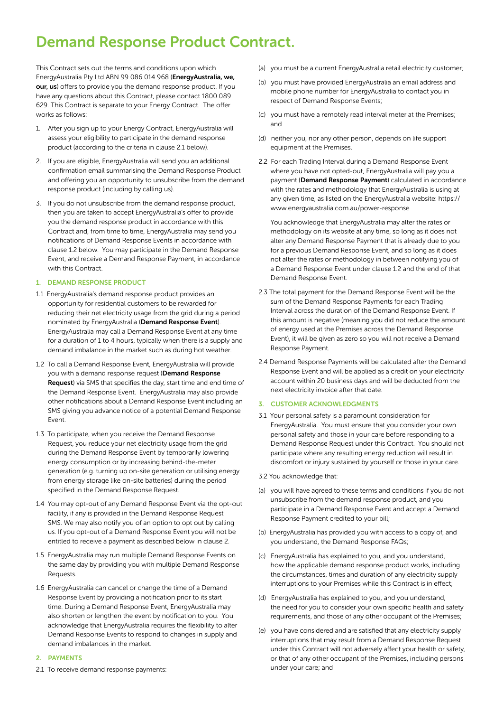# Demand Response Product Contract.

This Contract sets out the terms and conditions upon which EnergyAustralia Pty Ltd ABN 99 086 014 968 (EnergyAustralia, we, our, us) offers to provide you the demand response product. If you have any questions about this Contract, please contact [1800 089](tel:1800089629)  [629](tel:1800089629). This Contract is separate to your Energy Contract. The offer works as follows:

- 1. After you sign up to your Energy Contract, EnergyAustralia will assess your eligibility to participate in the demand response product (according to the criteria in clause 2.1 below).
- 2. If you are eligible, EnergyAustralia will send you an additional confirmation email summarising the Demand Response Product and offering you an opportunity to unsubscribe from the demand response product (including by calling us).
- 3. If you do not unsubscribe from the demand response product, then you are taken to accept EnergyAustralia's offer to provide you the demand response product in accordance with this Contract and, from time to time, EnergyAustralia may send you notifications of Demand Response Events in accordance with clause 1.2 below. You may participate in the Demand Response Event, and receive a Demand Response Payment, in accordance with this Contract.

## 1. DEMAND RESPONSE PRODUCT

- 1.1 EnergyAustralia's demand response product provides an opportunity for residential customers to be rewarded for reducing their net electricity usage from the grid during a period nominated by EnergyAustralia (Demand Response Event). EnergyAustralia may call a Demand Response Event at any time for a duration of 1 to 4 hours, typically when there is a supply and demand imbalance in the market such as during hot weather.
- 1.2 To call a Demand Response Event, EnergyAustralia will provide you with a demand response request (Demand Response Request) via SMS that specifies the day, start time and end time of the Demand Response Event. EnergyAustralia may also provide other notifications about a Demand Response Event including an SMS giving you advance notice of a potential Demand Response Event.
- 1.3 To participate, when you receive the Demand Response Request, you reduce your net electricity usage from the grid during the Demand Response Event by temporarily lowering energy consumption or by increasing behind-the-meter generation (e.g. turning up on-site generation or utilising energy from energy storage like on-site batteries) during the period specified in the Demand Response Request.
- 1.4 You may opt-out of any Demand Response Event via the opt-out facility, if any is provided in the Demand Response Request SMS. We may also notify you of an option to opt out by calling us. If you opt-out of a Demand Response Event you will not be entitled to receive a payment as described below in clause 2.
- 1.5 EnergyAustralia may run multiple Demand Response Events on the same day by providing you with multiple Demand Response Requests.
- 1.6 EnergyAustralia can cancel or change the time of a Demand Response Event by providing a notification prior to its start time. During a Demand Response Event, EnergyAustralia may also shorten or lengthen the event by notification to you. You acknowledge that EnergyAustralia requires the flexibility to alter Demand Response Events to respond to changes in supply and demand imbalances in the market.

# 2. PAYMENTS

2.1 To receive demand response payments:

- (a) you must be a current EnergyAustralia retail electricity customer;
- (b) you must have provided EnergyAustralia an email address and mobile phone number for EnergyAustralia to contact you in respect of Demand Response Events;
- (c) you must have a remotely read interval meter at the Premises; and
- (d) neither you, nor any other person, depends on life support equipment at the Premises.
- 2.2 For each Trading Interval during a Demand Response Event where you have not opted-out, EnergyAustralia will pay you a payment (Demand Response Payment) calculated in accordance with the rates and methodology that EnergyAustralia is using at any given time, as listed on the EnergyAustralia website: [https://](https://www.energyaustralia.com.au/power-response) [www.energyaustralia.com.au/power-response](https://www.energyaustralia.com.au/power-response)

You acknowledge that EnergyAustralia may alter the rates or methodology on its website at any time, so long as it does not alter any Demand Response Payment that is already due to you for a previous Demand Response Event, and so long as it does not alter the rates or methodology in between notifying you of a Demand Response Event under clause 1.2 and the end of that Demand Response Event.

- 2.3 The total payment for the Demand Response Event will be the sum of the Demand Response Payments for each Trading Interval across the duration of the Demand Response Event. If this amount is negative (meaning you did not reduce the amount of energy used at the Premises across the Demand Response Event), it will be given as zero so you will not receive a Demand Response Payment.
- 2.4 Demand Response Payments will be calculated after the Demand Response Event and will be applied as a credit on your electricity account within 20 business days and will be deducted from the next electricity invoice after that date.

## 3. CUSTOMER ACKNOWLEDGMENTS

- 3.1 Your personal safety is a paramount consideration for EnergyAustralia. You must ensure that you consider your own personal safety and those in your care before responding to a Demand Response Request under this Contract. You should not participate where any resulting energy reduction will result in discomfort or injury sustained by yourself or those in your care.
- 3.2 You acknowledge that:
- (a) you will have agreed to these terms and conditions if you do not unsubscribe from the demand response product, and you participate in a Demand Response Event and accept a Demand Response Payment credited to your bill;
- (b) EnergyAustralia has provided you with access to a copy of, and you understand, the Demand Response FAQs;
- (c) EnergyAustralia has explained to you, and you understand, how the applicable demand response product works, including the circumstances, times and duration of any electricity supply interruptions to your Premises while this Contract is in effect;
- (d) EnergyAustralia has explained to you, and you understand, the need for you to consider your own specific health and safety requirements, and those of any other occupant of the Premises;
- (e) you have considered and are satisfied that any electricity supply interruptions that may result from a Demand Response Request under this Contract will not adversely affect your health or safety, or that of any other occupant of the Premises, including persons under your care; and